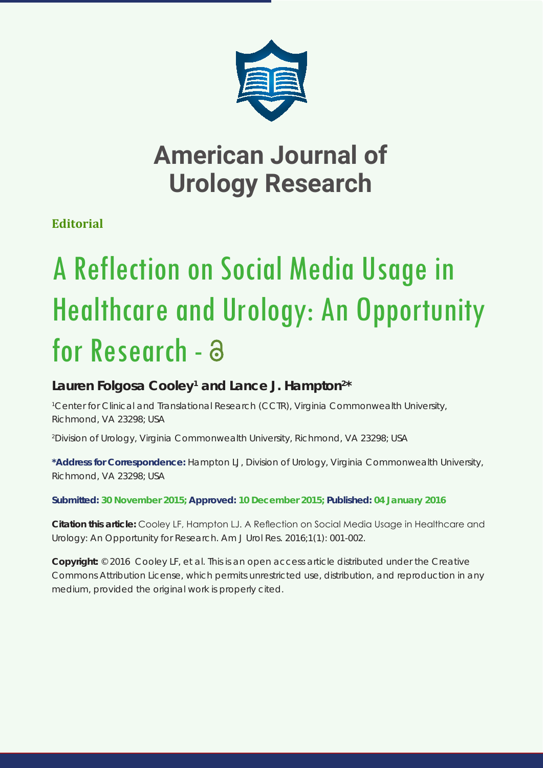

# **American Journal of Urology Research**

**Editorial**

# A Reflection on Social Media Usage in Healthcare and Urology: An Opportunity for Research - a

## Lauren Folgosa Cooley<sup>1</sup> and Lance J. Hampton<sup>2\*</sup>

*1 Center for Clinical and Translational Research (CCTR), Virginia Commonwealth University, Richmond, VA 23298; USA*

*2 Division of Urology, Virginia Commonwealth University, Richmond, VA 23298; USA*

**\*Address for Correspondence:** Hampton LJ, Division of Urology, Virginia Commonwealth University, Richmond, VA 23298; USA

**Submitted: 30 November 2015; Approved: 10 December 2015; Published: 04 January 2016**

**Citation this article:** Cooley LF, Hampton LJ. A Reflection on Social Media Usage in Healthcare and Urology: An Opportunity for Research. Am J Urol Res. 2016;1(1): 001-002.

**Copyright:** © 2016 Cooley LF, et al. This is an open access article distributed under the Creative Commons Attribution License, which permits unrestricted use, distribution, and reproduction in any medium, provided the original work is properly cited.